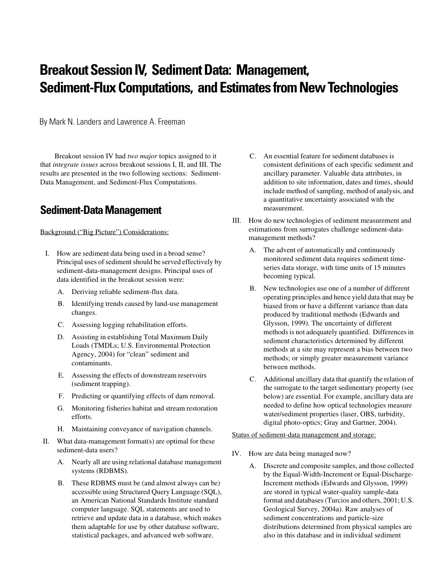# **Breakout Session IV, Sediment Data: Management, Sediment-Flux Computations, and Estimates from New Technologies**

By Mark N. Landers and Lawrence A. Freeman

Breakout session IV had *two major* topics assigned to it that *integrate issues* across breakout sessions I, II, and III. The results are presented in the two following sections: Sediment-Data Management, and Sediment-Flux Computations.

### **Sediment-Data Management**

Background ("Big Picture") Considerations:

- I. How are sediment data being used in a broad sense? Principal uses of sediment should be served effectively by sediment-data-management designs. Principal uses of data identified in the breakout session were:
	- A. Deriving reliable sediment-flux data.
	- B. Identifying trends caused by land-use management changes.
	- C. Assessing logging rehabilitation efforts.
	- D. Assisting in establishing Total Maximum Daily Loads (TMDLs; U.S. Environmental Protection Agency, 2004) for "clean" sediment and contaminants.
	- E. Assessing the effects of downstream reservoirs (sediment trapping).
	- F. Predicting or quantifying effects of dam removal.
	- G. Monitoring fisheries habitat and stream restoration efforts.
	- H. Maintaining conveyance of navigation channels.
- II. What data-management format(s) are optimal for these sediment-data users?
	- A. Nearly all are using relational database management systems (RDBMS).
	- B. These RDBMS must be (and almost always can be) accessible using Structured Query Language (SQL), an American National Standards Institute standard computer language. SQL statements are used to retrieve and update data in a database, which makes them adaptable for use by other database software, statistical packages, and advanced web software.
- C. An essential feature for sediment databases is consistent definitions of each specific sediment and ancillary parameter. Valuable data attributes, in addition to site information, dates and times, should include method of sampling, method of analysis, and a quantitative uncertainty associated with the measurement.
- III. How do new technologies of sediment measurement and estimations from surrogates challenge sediment-datamanagement methods?
	- A. The advent of automatically and continuously monitored sediment data requires sediment timeseries data storage, with time units of 15 minutes becoming typical.
	- B. New technologies use one of a number of different operating principles and hence yield data that may be biased from or have a different variance than data produced by traditional methods (Edwards and Glysson, 1999). The uncertainty of different methods is not adequately quantified. Differences in sediment characteristics determined by different methods at a site may represent a bias between two methods; or simply greater measurement variance between methods.
	- C. Additional ancillary data that quantify the relation of the surrogate to the target sedimentary property (see below) are essential. For example, ancillary data are needed to define how optical technologies measure water/sediment properties (laser, OBS, turbidity, digital photo-optics; Gray and Gartner, 2004).

Status of sediment-data management and storage:

- IV. How are data being managed now?
	- A. Discrete and composite samples, and those collected by the Equal-Width-Increment or Equal-Discharge-Increment methods (Edwards and Glysson, 1999) are stored in typical water-quality sample-data format and databases (Turcios and others, 2001; U.S. Geological Survey, 2004a). Raw analyses of sediment concentrations and particle-size distributions determined from physical samples are also in this database and in individual sediment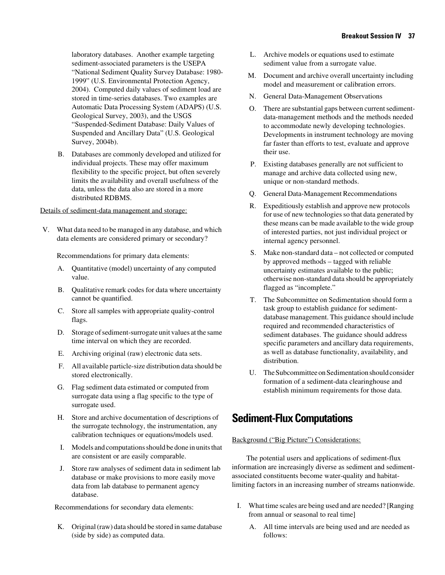laboratory databases. Another example targeting sediment-associated parameters is the USEPA "National Sediment Quality Survey Database: 1980- 1999" (U.S. Environmental Protection Agency, 2004). Computed daily values of sediment load are stored in time-series databases. Two examples are Automatic Data Processing System (ADAPS) (U.S. Geological Survey, 2003), and the USGS "Suspended-Sediment Database: Daily Values of Suspended and Ancillary Data" (U.S. Geological Survey, 2004b).

B. Databases are commonly developed and utilized for individual projects. These may offer maximum flexibility to the specific project, but often severely limits the availability and overall usefulness of the data, unless the data also are stored in a more distributed RDBMS.

#### Details of sediment-data management and storage:

V. What data need to be managed in any database, and which data elements are considered primary or secondary?

Recommendations for primary data elements:

- A. Quantitative (model) uncertainty of any computed value.
- B. Qualitative remark codes for data where uncertainty cannot be quantified.
- C. Store all samples with appropriate quality-control flags.
- D. Storage of sediment-surrogate unit values at the same time interval on which they are recorded.
- E. Archiving original (raw) electronic data sets.
- F. All available particle-size distribution data should be stored electronically.
- G. Flag sediment data estimated or computed from surrogate data using a flag specific to the type of surrogate used.
- H. Store and archive documentation of descriptions of the surrogate technology, the instrumentation, any calibration techniques or equations/models used.
- I. Models and computations should be done in units that are consistent or are easily comparable.
- J. Store raw analyses of sediment data in sediment lab database or make provisions to more easily move data from lab database to permanent agency database.

Recommendations for secondary data elements:

K. Original (raw) data should be stored in same database (side by side) as computed data.

- L. Archive models or equations used to estimate sediment value from a surrogate value.
- M. Document and archive overall uncertainty including model and measurement or calibration errors.
- N. General Data-Management Observations
- O. There are substantial gaps between current sedimentdata-management methods and the methods needed to accommodate newly developing technologies. Developments in instrument technology are moving far faster than efforts to test, evaluate and approve their use.
- P. Existing databases generally are not sufficient to manage and archive data collected using new, unique or non-standard methods.
- Q. General Data-Management Recommendations
- R. Expeditiously establish and approve new protocols for use of new technologies so that data generated by these means can be made available to the wide group of interested parties, not just individual project or internal agency personnel.
- S. Make non-standard data not collected or computed by approved methods – tagged with reliable uncertainty estimates available to the public; otherwise non-standard data should be appropriately flagged as "incomplete."
- T. The Subcommittee on Sedimentation should form a task group to establish guidance for sedimentdatabase management. This guidance should include required and recommended characteristics of sediment databases. The guidance should address specific parameters and ancillary data requirements, as well as database functionality, availability, and distribution.
- U. The Subcommittee on Sedimentation should consider formation of a sediment-data clearinghouse and establish minimum requirements for those data.

## **Sediment-Flux Computations**

#### Background ("Big Picture") Considerations:

The potential users and applications of sediment-flux information are increasingly diverse as sediment and sedimentassociated constituents become water-quality and habitatlimiting factors in an increasing number of streams nationwide.

- I. What time scales are being used and are needed? [Ranging from annual or seasonal to real time]
	- A. All time intervals are being used and are needed as follows: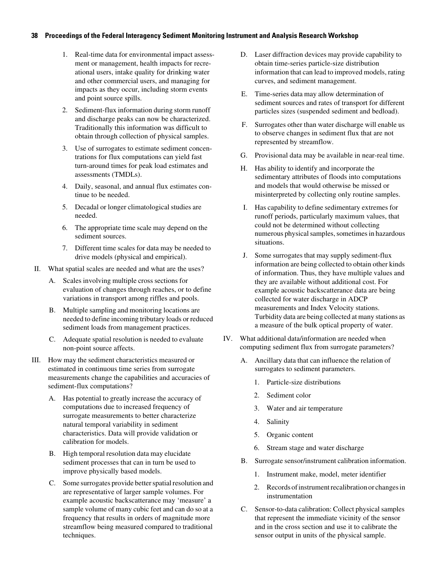#### **38 Proceedings of the Federal Interagency Sediment Monitoring Instrument and Analysis Research Workshop**

- 1. Real-time data for environmental impact assessment or management, health impacts for recreational users, intake quality for drinking water and other commercial users, and managing for impacts as they occur, including storm events and point source spills.
- 2. Sediment-flux information during storm runoff and discharge peaks can now be characterized. Traditionally this information was difficult to obtain through collection of physical samples.
- 3. Use of surrogates to estimate sediment concentrations for flux computations can yield fast turn-around times for peak load estimates and assessments (TMDLs).
- 4. Daily, seasonal, and annual flux estimates continue to be needed.
- 5. Decadal or longer climatological studies are needed.
- 6. The appropriate time scale may depend on the sediment sources.
- 7. Different time scales for data may be needed to drive models (physical and empirical).
- II. What spatial scales are needed and what are the uses?
	- A. Scales involving multiple cross sections for evaluation of changes through reaches, or to define variations in transport among riffles and pools.
	- B. Multiple sampling and monitoring locations are needed to define incoming tributary loads or reduced sediment loads from management practices.
	- C. Adequate spatial resolution is needed to evaluate non-point source affects.
- III. How may the sediment characteristics measured or estimated in continuous time series from surrogate measurements change the capabilities and accuracies of sediment-flux computations?
	- A. Has potential to greatly increase the accuracy of computations due to increased frequency of surrogate measurements to better characterize natural temporal variability in sediment characteristics. Data will provide validation or calibration for models.
	- B. High temporal resolution data may elucidate sediment processes that can in turn be used to improve physically based models.
	- C. Some surrogates provide better spatial resolution and are representative of larger sample volumes. For example acoustic backscatterance may 'measure' a sample volume of many cubic feet and can do so at a frequency that results in orders of magnitude more streamflow being measured compared to traditional techniques.
- D. Laser diffraction devices may provide capability to obtain time-series particle-size distribution information that can lead to improved models, rating curves, and sediment management.
- Time-series data may allow determination of sediment sources and rates of transport for different particles sizes (suspended sediment and bedload).
- F. Surrogates other than water discharge will enable us to observe changes in sediment flux that are not represented by streamflow.
- G. Provisional data may be available in near-real time.
- H. Has ability to identify and incorporate the sedimentary attributes of floods into computations and models that would otherwise be missed or misinterpreted by collecting only routine samples.
- I. Has capability to define sedimentary extremes for runoff periods, particularly maximum values, that could not be determined without collecting numerous physical samples, sometimes in hazardous situations.
- J. Some surrogates that may supply sediment-flux information are being collected to obtain other kinds of information. Thus, they have multiple values and they are available without additional cost. For example acoustic backscatterance data are being collected for water discharge in ADCP measurements and Index Velocity stations. Turbidity data are being collected at many stations as a measure of the bulk optical property of water.
- IV. What additional data/information are needed when computing sediment flux from surrogate parameters?
	- A. Ancillary data that can influence the relation of surrogates to sediment parameters.
		- 1. Particle-size distributions
		- 2. Sediment color
		- 3. Water and air temperature
		- 4. Salinity
		- 5. Organic content
		- 6. Stream stage and water discharge
	- B. Surrogate sensor/instrument calibration information.
		- 1. Instrument make, model, meter identifier
		- 2. Records of instrument recalibration or changes in instrumentation
	- C. Sensor-to-data calibration: Collect physical samples that represent the immediate vicinity of the sensor and in the cross section and use it to calibrate the sensor output in units of the physical sample.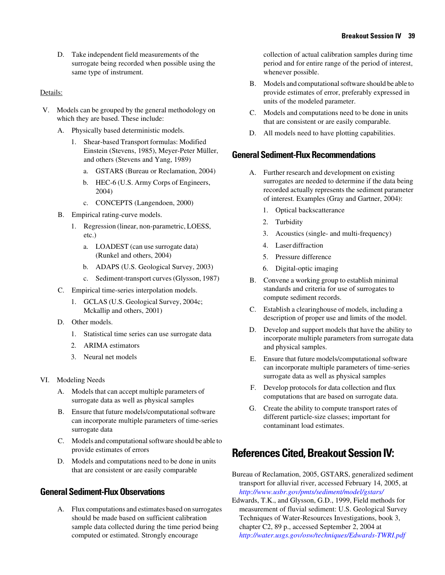D. Take independent field measurements of the surrogate being recorded when possible using the same type of instrument.

#### Details:

- V. Models can be grouped by the general methodology on which they are based. These include:
	- A. Physically based deterministic models.
		- 1. Shear-based Transport formulas: Modified Einstein (Stevens, 1985), Meyer-Peter Müller, and others (Stevens and Yang, 1989)
			- a. GSTARS (Bureau or Reclamation, 2004)
			- b. HEC-6 (U.S. Army Corps of Engineers, 2004)
			- c. CONCEPTS (Langendoen, 2000)
	- B. Empirical rating-curve models.
		- 1. Regression (linear, non-parametric, LOESS, etc.)
			- a. LOADEST (can use surrogate data) (Runkel and others, 2004)
			- b. ADAPS (U.S. Geological Survey, 2003)
			- c. Sediment-transport curves (Glysson, 1987)
	- C. Empirical time-series interpolation models.
		- 1. GCLAS (U.S. Geological Survey, 2004c; Mckallip and others, 2001)
	- D. Other models.
		- 1. Statistical time series can use surrogate data
		- 2. ARIMA estimators
		- 3. Neural net models
- VI. Modeling Needs
	- A. Models that can accept multiple parameters of surrogate data as well as physical samples
	- B. Ensure that future models/computational software can incorporate multiple parameters of time-series surrogate data
	- C. Models and computational software should be able to provide estimates of errors
	- D. Models and computations need to be done in units that are consistent or are easily comparable

### **General Sediment-Flux Observations**

A. Flux computations and estimates based on surrogates should be made based on sufficient calibration sample data collected during the time period being computed or estimated. Strongly encourage

collection of actual calibration samples during time period and for entire range of the period of interest, whenever possible.

- B. Models and computational software should be able to provide estimates of error, preferably expressed in units of the modeled parameter.
- C. Models and computations need to be done in units that are consistent or are easily comparable.
- D. All models need to have plotting capabilities.

### **General Sediment-Flux Recommendations**

- A. Further research and development on existing surrogates are needed to determine if the data being recorded actually represents the sediment parameter of interest. Examples (Gray and Gartner, 2004):
	- 1. Optical backscatterance
	- 2. Turbidity
	- 3. Acoustics (single- and multi-frequency)
	- 4. Laser diffraction
	- 5. Pressure difference
	- 6. Digital-optic imaging
- B. Convene a working group to establish minimal standards and criteria for use of surrogates to compute sediment records.
- C. Establish a clearinghouse of models, including a description of proper use and limits of the model.
- D. Develop and support models that have the ability to incorporate multiple parameters from surrogate data and physical samples.
- E. Ensure that future models/computational software can incorporate multiple parameters of time-series surrogate data as well as physical samples
- F. Develop protocols for data collection and flux computations that are based on surrogate data.
- G. Create the ability to compute transport rates of different particle-size classes; important for contaminant load estimates.

# **References Cited, Breakout Session IV:**

Bureau of Reclamation, 2005, GSTARS, generalized sediment transport for alluvial river, accessed February 14, 2005, at *<http://www.usbr.gov/pmts/sediment/model/gstars/>*

Edwards, T.K., and Glysson, G.D., 1999, Field methods for measurement of fluvial sediment: U.S. Geological Survey Techniques of Water-Resources Investigations, book 3, chapter C2, 89 p., accessed September 2, 2004 at *<http://water.usgs.gov/osw/techniques/Edwards-TWRI.pdf>*